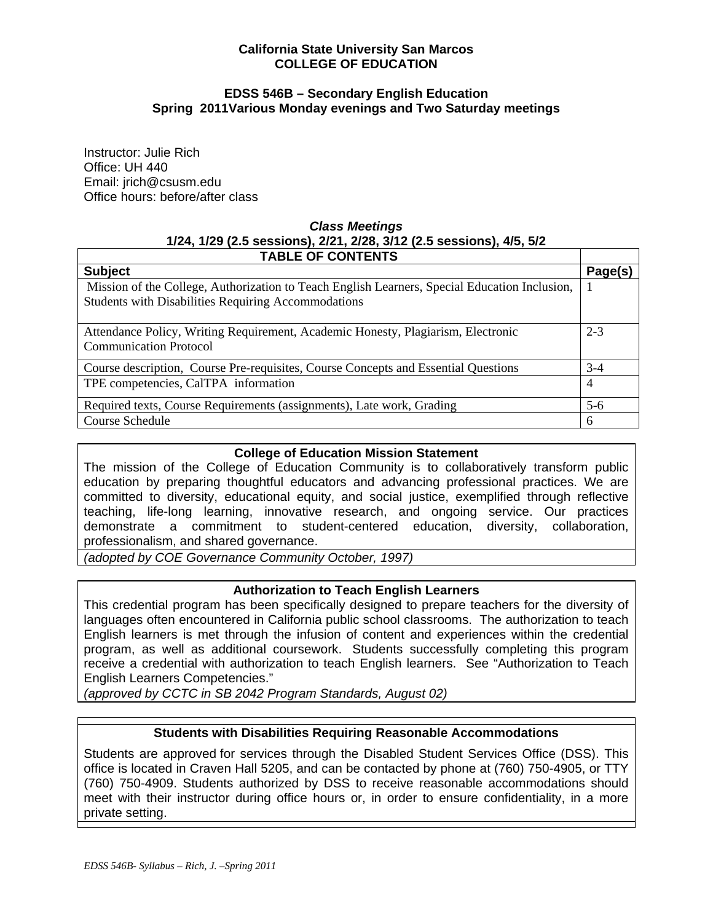### **California State University San Marcos COLLEGE OF EDUCATION**

### **EDSS 546B – Secondary English Education Spring 2011Various Monday evenings and Two Saturday meetings**

Instructor: Julie Rich Office: UH 440 Email: jrich@csusm.edu Office hours: before/after class

# *Class Meetings*  **1/24, 1/29 (2.5 sessions), 2/21, 2/28, 3/12 (2.5 sessions), 4/5, 5/2**

| <b>TABLE OF CONTENTS</b>                                                                                          |                |
|-------------------------------------------------------------------------------------------------------------------|----------------|
| <b>Subject</b>                                                                                                    | Page(s)        |
| Mission of the College, Authorization to Teach English Learners, Special Education Inclusion,                     |                |
| <b>Students with Disabilities Requiring Accommodations</b>                                                        |                |
| Attendance Policy, Writing Requirement, Academic Honesty, Plagiarism, Electronic<br><b>Communication Protocol</b> | $2 - 3$        |
| Course description, Course Pre-requisites, Course Concepts and Essential Questions                                | $3-4$          |
| TPE competencies, CalTPA information                                                                              | $\overline{4}$ |
| Required texts, Course Requirements (assignments), Late work, Grading                                             | $5-6$          |
| Course Schedule                                                                                                   | 6              |

# **College of Education Mission Statement**

The mission of the College of Education Community is to collaboratively transform public education by preparing thoughtful educators and advancing professional practices. We are committed to diversity, educational equity, and social justice, exemplified through reflective teaching, life-long learning, innovative research, and ongoing service. Our practices demonstrate a commitment to student-centered education, diversity, collaboration, professionalism, and shared governance.

*(adopted by COE Governance Community October, 1997)* 

# **Authorization to Teach English Learners**

This credential program has been specifically designed to prepare teachers for the diversity of languages often encountered in California public school classrooms. The authorization to teach English learners is met through the infusion of content and experiences within the credential program, as well as additional coursework. Students successfully completing this program receive a credential with authorization to teach English learners. See "Authorization to Teach English Learners Competencies."

*(approved by CCTC in SB 2042 Program Standards, August 02)* 

# **Students with Disabilities Requiring Reasonable Accommodations**

Students are approved for services through the Disabled Student Services Office (DSS). This office is located in Craven Hall 5205, and can be contacted by phone at (760) 750-4905, or TTY (760) 750-4909. Students authorized by DSS to receive reasonable accommodations should meet with their instructor during office hours or, in order to ensure confidentiality, in a more private setting.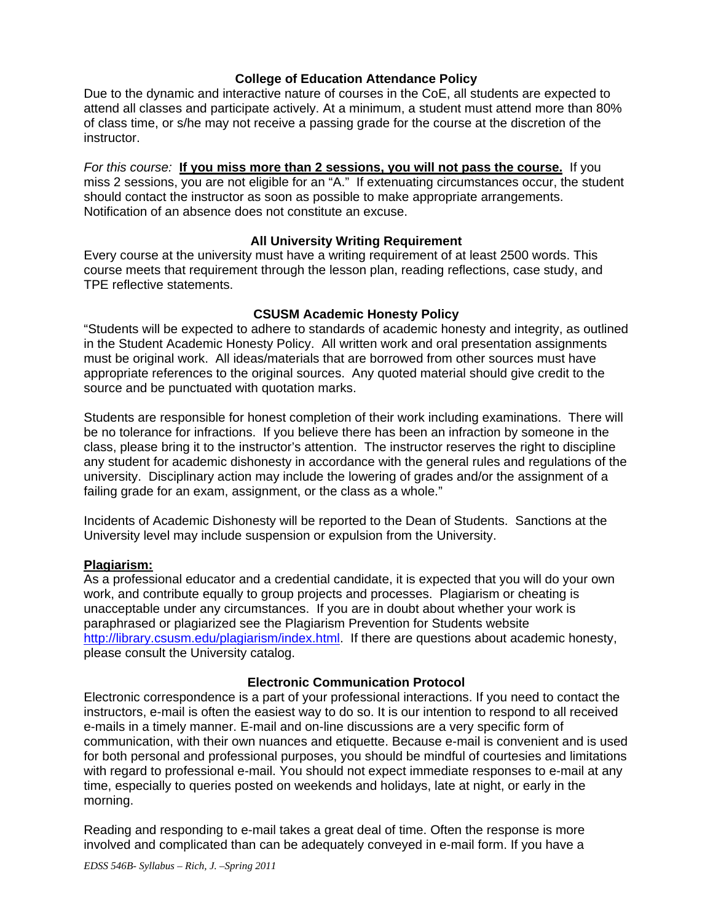### **College of Education Attendance Policy**

Due to the dynamic and interactive nature of courses in the CoE, all students are expected to attend all classes and participate actively. At a minimum, a student must attend more than 80% of class time, or s/he may not receive a passing grade for the course at the discretion of the instructor.

*For this course:* **If you miss more than 2 sessions, you will not pass the course.** If you miss 2 sessions, you are not eligible for an "A." If extenuating circumstances occur, the student should contact the instructor as soon as possible to make appropriate arrangements. Notification of an absence does not constitute an excuse.

### **All University Writing Requirement**

Every course at the university must have a writing requirement of at least 2500 words. This course meets that requirement through the lesson plan, reading reflections, case study, and TPE reflective statements.

### **CSUSM Academic Honesty Policy**

"Students will be expected to adhere to standards of academic honesty and integrity, as outlined in the Student Academic Honesty Policy. All written work and oral presentation assignments must be original work. All ideas/materials that are borrowed from other sources must have appropriate references to the original sources. Any quoted material should give credit to the source and be punctuated with quotation marks.

Students are responsible for honest completion of their work including examinations. There will be no tolerance for infractions. If you believe there has been an infraction by someone in the class, please bring it to the instructor's attention. The instructor reserves the right to discipline any student for academic dishonesty in accordance with the general rules and regulations of the university. Disciplinary action may include the lowering of grades and/or the assignment of a failing grade for an exam, assignment, or the class as a whole."

Incidents of Academic Dishonesty will be reported to the Dean of Students. Sanctions at the University level may include suspension or expulsion from the University.

#### **Plagiarism:**

As a professional educator and a credential candidate, it is expected that you will do your own work, and contribute equally to group projects and processes. Plagiarism or cheating is unacceptable under any circumstances. If you are in doubt about whether your work is paraphrased or plagiarized see the Plagiarism Prevention for Students website http://library.csusm.edu/plagiarism/index.html. If there are questions about academic honesty, please consult the University catalog.

#### **Electronic Communication Protocol**

Electronic correspondence is a part of your professional interactions. If you need to contact the instructors, e-mail is often the easiest way to do so. It is our intention to respond to all received e-mails in a timely manner. E-mail and on-line discussions are a very specific form of communication, with their own nuances and etiquette. Because e-mail is convenient and is used for both personal and professional purposes, you should be mindful of courtesies and limitations with regard to professional e-mail. You should not expect immediate responses to e-mail at any time, especially to queries posted on weekends and holidays, late at night, or early in the morning.

Reading and responding to e-mail takes a great deal of time. Often the response is more involved and complicated than can be adequately conveyed in e-mail form. If you have a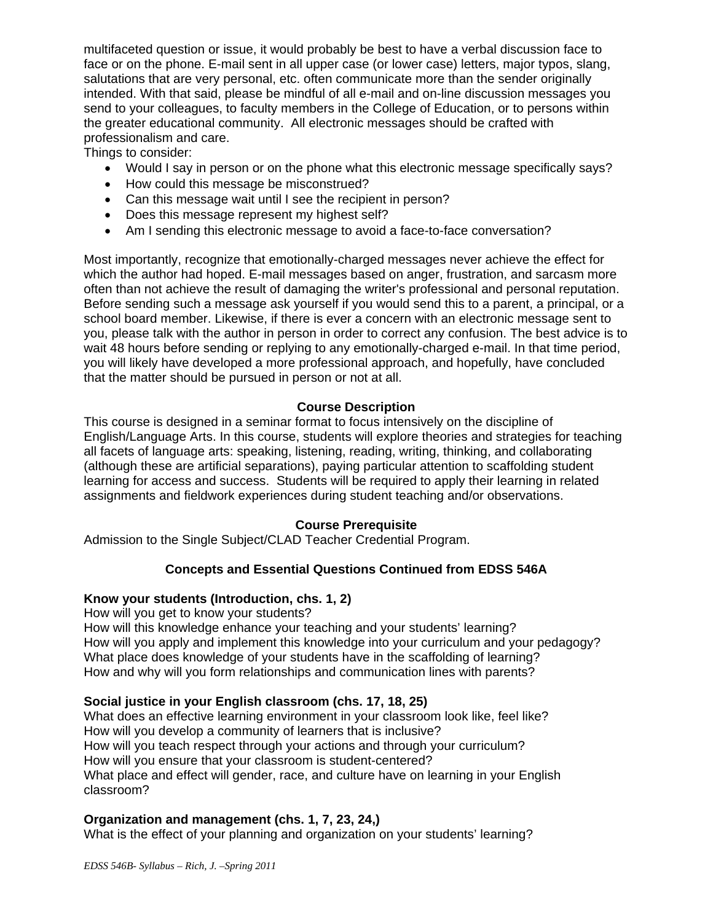multifaceted question or issue, it would probably be best to have a verbal discussion face to face or on the phone. E-mail sent in all upper case (or lower case) letters, major typos, slang, salutations that are very personal, etc. often communicate more than the sender originally intended. With that said, please be mindful of all e-mail and on-line discussion messages you send to your colleagues, to faculty members in the College of Education, or to persons within the greater educational community. All electronic messages should be crafted with professionalism and care.

Things to consider:

- Would I say in person or on the phone what this electronic message specifically says?
- How could this message be misconstrued?
- Can this message wait until I see the recipient in person?
- Does this message represent my highest self?
- Am I sending this electronic message to avoid a face-to-face conversation?

Most importantly, recognize that emotionally-charged messages never achieve the effect for which the author had hoped. E-mail messages based on anger, frustration, and sarcasm more often than not achieve the result of damaging the writer's professional and personal reputation. Before sending such a message ask yourself if you would send this to a parent, a principal, or a school board member. Likewise, if there is ever a concern with an electronic message sent to you, please talk with the author in person in order to correct any confusion. The best advice is to wait 48 hours before sending or replying to any emotionally-charged e-mail. In that time period, you will likely have developed a more professional approach, and hopefully, have concluded that the matter should be pursued in person or not at all.

# **Course Description**

This course is designed in a seminar format to focus intensively on the discipline of English/Language Arts. In this course, students will explore theories and strategies for teaching all facets of language arts: speaking, listening, reading, writing, thinking, and collaborating (although these are artificial separations), paying particular attention to scaffolding student learning for access and success. Students will be required to apply their learning in related assignments and fieldwork experiences during student teaching and/or observations.

# **Course Prerequisite**

Admission to the Single Subject/CLAD Teacher Credential Program.

# **Concepts and Essential Questions Continued from EDSS 546A**

# **Know your students (Introduction, chs. 1, 2)**

How will you get to know your students?

How will this knowledge enhance your teaching and your students' learning? How will you apply and implement this knowledge into your curriculum and your pedagogy? What place does knowledge of your students have in the scaffolding of learning? How and why will you form relationships and communication lines with parents?

# **Social justice in your English classroom (chs. 17, 18, 25)**

What does an effective learning environment in your classroom look like, feel like? How will you develop a community of learners that is inclusive? How will you teach respect through your actions and through your curriculum? How will you ensure that your classroom is student-centered? What place and effect will gender, race, and culture have on learning in your English classroom?

# **Organization and management (chs. 1, 7, 23, 24,)**

What is the effect of your planning and organization on your students' learning?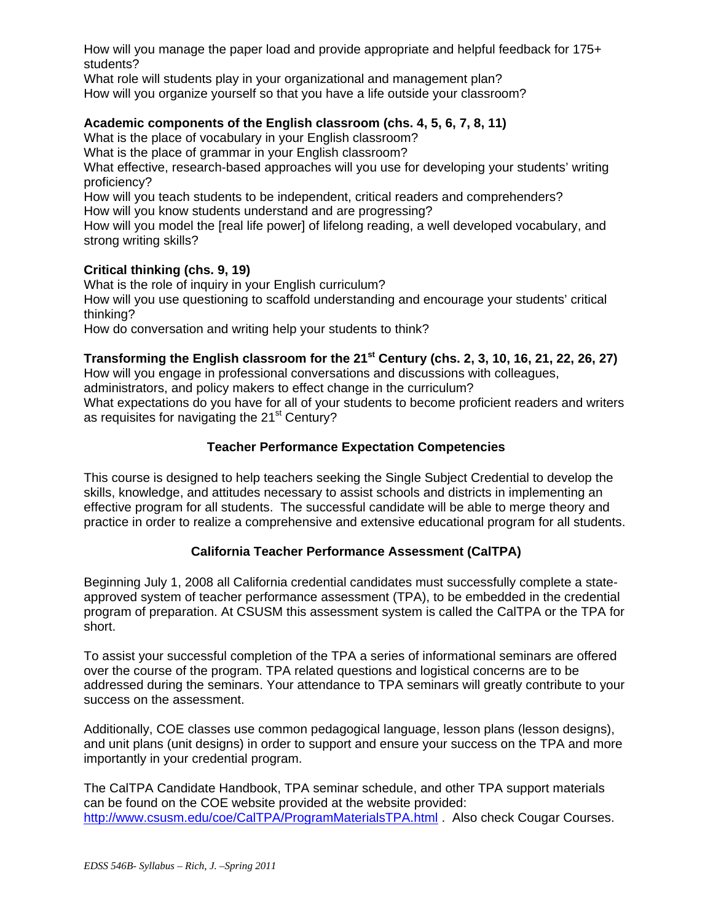How will you manage the paper load and provide appropriate and helpful feedback for 175+ students?

What role will students play in your organizational and management plan? How will you organize yourself so that you have a life outside your classroom?

# **Academic components of the English classroom (chs. 4, 5, 6, 7, 8, 11)**

What is the place of vocabulary in your English classroom?

What is the place of grammar in your English classroom?

 proficiency? What effective, research-based approaches will you use for developing your students' writing

How will you teach students to be independent, critical readers and comprehenders? How will you know students understand and are progressing?

How will you model the [real life power] of lifelong reading, a well developed vocabulary, and strong writing skills?

### **Critical thinking (chs. 9, 19)**

What is the role of inquiry in your English curriculum?

How will you use questioning to scaffold understanding and encourage your students' critical thinking?

How do conversation and writing help your students to think?

# **Transforming the English classroom for the 21st Century (chs. 2, 3, 10, 16, 21, 22, 26, 27)**

How will you engage in professional conversations and discussions with colleagues,

administrators, and policy makers to effect change in the curriculum?

What expectations do you have for all of your students to become proficient readers and writers as requisites for navigating the 21<sup>st</sup> Century?

# **Teacher Performance Expectation Competencies**

This course is designed to help teachers seeking the Single Subject Credential to develop the skills, knowledge, and attitudes necessary to assist schools and districts in implementing an effective program for all students. The successful candidate will be able to merge theory and practice in order to realize a comprehensive and extensive educational program for all students.

# **California Teacher Performance Assessment (CalTPA)**

Beginning July 1, 2008 all California credential candidates must successfully complete a stateapproved system of teacher performance assessment (TPA), to be embedded in the credential program of preparation. At CSUSM this assessment system is called the CalTPA or the TPA for short.

To assist your successful completion of the TPA a series of informational seminars are offered over the course of the program. TPA related questions and logistical concerns are to be addressed during the seminars. Your attendance to TPA seminars will greatly contribute to your success on the assessment.

Additionally, COE classes use common pedagogical language, lesson plans (lesson designs), and unit plans (unit designs) in order to support and ensure your success on the TPA and more importantly in your credential program.

The CalTPA Candidate Handbook, TPA seminar schedule, and other TPA support materials can be found on the COE website provided at the website provided: http://www.csusm.edu/coe/CalTPA/ProgramMaterialsTPA.html . Also check Cougar Courses.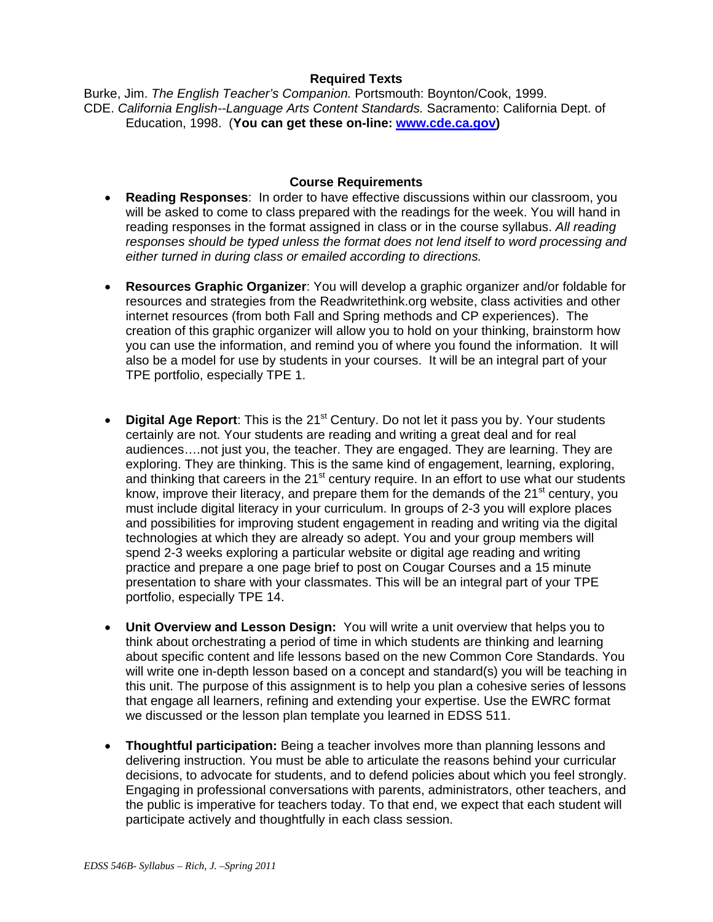### **Required Texts**

Burke, Jim. *The English Teacher's Companion.* Portsmouth: Boynton/Cook, 1999. CDE. *California English--Language Arts Content Standards.* Sacramento: California Dept. of Education, 1998. (**You can get these on-line: www.cde.ca.gov)** 

#### **Course Requirements**

- **Reading Responses**: In order to have effective discussions within our classroom, you will be asked to come to class prepared with the readings for the week. You will hand in reading responses in the format assigned in class or in the course syllabus. *All reading responses should be typed unless the format does not lend itself to word processing and either turned in during class or emailed according to directions.*
- **Resources Graphic Organizer**: You will develop a graphic organizer and/or foldable for resources and strategies from the Readwritethink.org website, class activities and other internet resources (from both Fall and Spring methods and CP experiences). The creation of this graphic organizer will allow you to hold on your thinking, brainstorm how you can use the information, and remind you of where you found the information. It will also be a model for use by students in your courses. It will be an integral part of your TPE portfolio, especially TPE 1.
- **Digital Age Report:** This is the 21<sup>st</sup> Century. Do not let it pass you by. Your students certainly are not. Your students are reading and writing a great deal and for real audiences….not just you, the teacher. They are engaged. They are learning. They are exploring. They are thinking. This is the same kind of engagement, learning, exploring, and thinking that careers in the  $21<sup>st</sup>$  century require. In an effort to use what our students know, improve their literacy, and prepare them for the demands of the 21<sup>st</sup> century, you must include digital literacy in your curriculum. In groups of 2-3 you will explore places and possibilities for improving student engagement in reading and writing via the digital technologies at which they are already so adept. You and your group members will spend 2-3 weeks exploring a particular website or digital age reading and writing practice and prepare a one page brief to post on Cougar Courses and a 15 minute presentation to share with your classmates. This will be an integral part of your TPE portfolio, especially TPE 14.
- **Unit Overview and Lesson Design:** You will write a unit overview that helps you to think about orchestrating a period of time in which students are thinking and learning about specific content and life lessons based on the new Common Core Standards. You will write one in-depth lesson based on a concept and standard(s) you will be teaching in this unit. The purpose of this assignment is to help you plan a cohesive series of lessons that engage all learners, refining and extending your expertise. Use the EWRC format we discussed or the lesson plan template you learned in EDSS 511.
- **Thoughtful participation:** Being a teacher involves more than planning lessons and delivering instruction. You must be able to articulate the reasons behind your curricular decisions, to advocate for students, and to defend policies about which you feel strongly. Engaging in professional conversations with parents, administrators, other teachers, and the public is imperative for teachers today. To that end, we expect that each student will participate actively and thoughtfully in each class session.